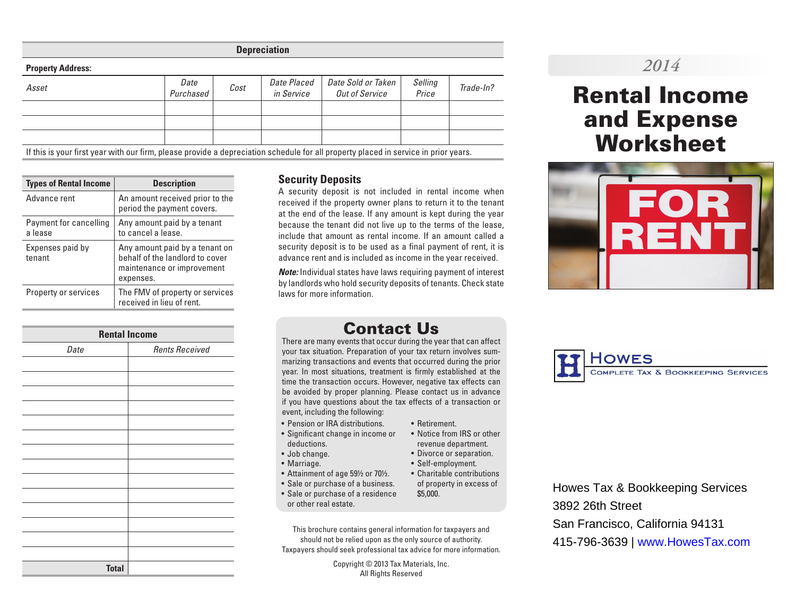**Depreciation**

| <b>Property Address:</b>                                                                                                            |                   |      |                           |                                      |                  |           |  |  |  |
|-------------------------------------------------------------------------------------------------------------------------------------|-------------------|------|---------------------------|--------------------------------------|------------------|-----------|--|--|--|
| Asset                                                                                                                               | Date<br>Purchased | Cost | Date Placed<br>in Service | Date Sold or Taken<br>Out of Service | Selling<br>Price | Trade-In? |  |  |  |
|                                                                                                                                     |                   |      |                           |                                      |                  |           |  |  |  |
|                                                                                                                                     |                   |      |                           |                                      |                  |           |  |  |  |
|                                                                                                                                     |                   |      |                           |                                      |                  |           |  |  |  |
| If this is your first year with our firm, please provide a depreciation schedule for all property placed in service in prior years. |                   |      |                           |                                      |                  |           |  |  |  |

| <b>Types of Rental Income</b>     | <b>Description</b>                                                                                           |  |  |  |  |  |
|-----------------------------------|--------------------------------------------------------------------------------------------------------------|--|--|--|--|--|
| Advance rent                      | An amount received prior to the<br>period the payment covers.                                                |  |  |  |  |  |
| Payment for cancelling<br>a lease | Any amount paid by a tenant<br>to cancel a lease.                                                            |  |  |  |  |  |
| Expenses paid by<br>tenant        | Any amount paid by a tenant on<br>behalf of the landlord to cover<br>maintenance or improvement<br>expenses. |  |  |  |  |  |
| <b>Property or services</b>       | The FMV of property or services<br>received in lieu of rent.                                                 |  |  |  |  |  |

| <b>Rental Income</b> |                       |  |  |  |  |  |  |  |  |
|----------------------|-----------------------|--|--|--|--|--|--|--|--|
| Date                 | <b>Rents Received</b> |  |  |  |  |  |  |  |  |
|                      |                       |  |  |  |  |  |  |  |  |
|                      |                       |  |  |  |  |  |  |  |  |
|                      |                       |  |  |  |  |  |  |  |  |
|                      |                       |  |  |  |  |  |  |  |  |
|                      |                       |  |  |  |  |  |  |  |  |
|                      |                       |  |  |  |  |  |  |  |  |
|                      |                       |  |  |  |  |  |  |  |  |
|                      |                       |  |  |  |  |  |  |  |  |
|                      |                       |  |  |  |  |  |  |  |  |
|                      |                       |  |  |  |  |  |  |  |  |
|                      |                       |  |  |  |  |  |  |  |  |
|                      |                       |  |  |  |  |  |  |  |  |
|                      |                       |  |  |  |  |  |  |  |  |
|                      |                       |  |  |  |  |  |  |  |  |
| <b>Total</b>         |                       |  |  |  |  |  |  |  |  |

### **Security Deposits**

A security deposit is not included in rental income when received if the property owner plans to return it to the tenant at the end of the lease. If any amount is kept during the year because the tenant did not live up to the terms of the lease, include that amount as rental income. If an amount called a security deposit is to be used as a final payment of rent, it is advance rent and is included as income in the year received.

*Note:* Individual states have laws requiring payment of interest by landlords who hold security deposits of tenants. Check state laws for more information.

### Contact Us

There are many events that occur during the year that can affect your tax situation. Preparation of your tax return involves summarizing transactions and events that occurred during the prior year. In most situations, treatment is firmly established at the time the transaction occurs. However, negative tax effects can be avoided by proper planning. Please contact us in advance if you have questions about the tax effects of a transaction or event, including the following:

- Pension or IRA distributions.
- Significant change in income or deductions.
- Job change.
- Marriage.
- Attainment of age 59½ or 70½.
- Sale or purchase of a business. • Sale or purchase of a residence
- or other real estate.

This brochure contains general information for taxpayers and should not be relied upon as the only source of authority. Taxpayers should seek professional tax advice for more information.

> Copyright © 2013 Tax Materials, Inc. All Rights Reserved

- Retirement.
- Notice from IRS or other revenue department.
- Divorce or separation.
- Self-employment.
- Charitable contributions of property in excess of \$5,000.

Howes Tax & Bookkeeping Services 3892 26th Street San Francisco, California 94131 415-796-3639 | www.HowesTax.com

### *2014*

# Rental Income and Expense **Worksheet**